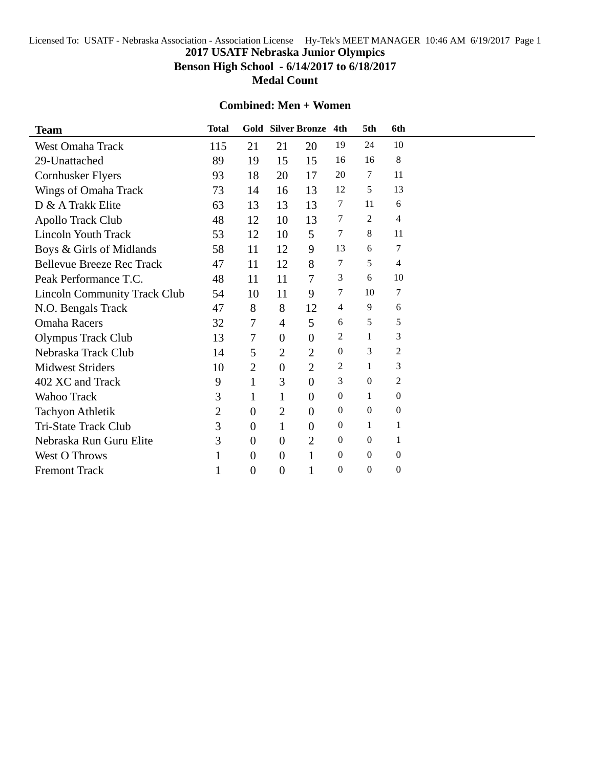## Licensed To: USATF - Nebraska Association - Association License Hy-Tek's MEET MANAGER 10:46 AM 6/19/2017 Page 1 **2017 USATF Nebraska Junior Olympics Benson High School - 6/14/2017 to 6/18/2017 Medal Count**

## **Combined: Men + Women**

| <b>Team</b>                         | <b>Total</b>   |                |                | <b>Gold Silver Bronze</b> | 4th              | 5th              | 6th              |  |  |  |  |  |  |  |  |  |  |  |  |
|-------------------------------------|----------------|----------------|----------------|---------------------------|------------------|------------------|------------------|--|--|--|--|--|--|--|--|--|--|--|--|
| <b>West Omaha Track</b>             | 115            | 21             | 21             | 20                        | 19               | 24               | 10               |  |  |  |  |  |  |  |  |  |  |  |  |
| 29-Unattached                       | 89             | 19             | 15             | 15                        | 16               | 16               | $\,8\,$          |  |  |  |  |  |  |  |  |  |  |  |  |
| <b>Cornhusker Flyers</b>            | 93             | 18             | 20             | 17                        | 20               | 7                | 11               |  |  |  |  |  |  |  |  |  |  |  |  |
| Wings of Omaha Track                | 73             | 14             | 16             | 13                        | 12               | 5                | 13               |  |  |  |  |  |  |  |  |  |  |  |  |
| D & A Trakk Elite                   | 63             | 13             | 13             | 13                        | 7                | 11               | 6                |  |  |  |  |  |  |  |  |  |  |  |  |
| Apollo Track Club                   | 48             | 12             | 10             | 13                        | 7                | 2                | 4                |  |  |  |  |  |  |  |  |  |  |  |  |
| <b>Lincoln Youth Track</b>          | 53             | 12             | 10             | 5                         | $\tau$           | 8                | 11               |  |  |  |  |  |  |  |  |  |  |  |  |
| Boys & Girls of Midlands            | 58             | 11             | 12             | 9                         | 13               | 6                | $\boldsymbol{7}$ |  |  |  |  |  |  |  |  |  |  |  |  |
| <b>Bellevue Breeze Rec Track</b>    | 47             | 11             | 12             | 8                         | 7                | 5                | 4                |  |  |  |  |  |  |  |  |  |  |  |  |
| Peak Performance T.C.               | 48             | 11             | 11             | 7                         | 3                | 6                | 10               |  |  |  |  |  |  |  |  |  |  |  |  |
| <b>Lincoln Community Track Club</b> | 54             | 10             | 11             | 9                         | 7                | 10               | 7                |  |  |  |  |  |  |  |  |  |  |  |  |
| N.O. Bengals Track                  | 47             | 8              | 8              | 12                        | 4                | 9                | 6                |  |  |  |  |  |  |  |  |  |  |  |  |
| <b>Omaha Racers</b>                 | 32             | $\tau$         | $\overline{4}$ | 5                         | 6                | 5                | 5                |  |  |  |  |  |  |  |  |  |  |  |  |
| <b>Olympus Track Club</b>           | 13             | $\tau$         | $\overline{0}$ | $\overline{0}$            | 2                | $\mathbf{1}$     | 3                |  |  |  |  |  |  |  |  |  |  |  |  |
| Nebraska Track Club                 | 14             | 5              | $\overline{2}$ | $\overline{2}$            | $\boldsymbol{0}$ | 3                | $\mathbf{2}$     |  |  |  |  |  |  |  |  |  |  |  |  |
| <b>Midwest Striders</b>             | 10             | $\overline{2}$ | $\overline{0}$ | $\overline{2}$            | $\overline{2}$   | $\mathbf{1}$     | 3                |  |  |  |  |  |  |  |  |  |  |  |  |
| 402 XC and Track                    | 9              | $\mathbf{1}$   | 3              | $\overline{0}$            | 3                | $\mathbf{0}$     | $\overline{2}$   |  |  |  |  |  |  |  |  |  |  |  |  |
| Wahoo Track                         | 3              | $\mathbf{1}$   | $\mathbf{1}$   | $\overline{0}$            | $\boldsymbol{0}$ | $\mathbf{1}$     | $\boldsymbol{0}$ |  |  |  |  |  |  |  |  |  |  |  |  |
| <b>Tachyon Athletik</b>             | $\overline{2}$ | $\overline{0}$ | $\overline{2}$ | $\Omega$                  | $\boldsymbol{0}$ | $\boldsymbol{0}$ | $\boldsymbol{0}$ |  |  |  |  |  |  |  |  |  |  |  |  |
| Tri-State Track Club                | 3              | $\overline{0}$ | $\mathbf{1}$   | $\overline{0}$            | $\boldsymbol{0}$ | $\mathbf{1}$     | $\mathbf{1}$     |  |  |  |  |  |  |  |  |  |  |  |  |
| Nebraska Run Guru Elite             | 3              | $\overline{0}$ | $\overline{0}$ | $\overline{2}$            | $\Omega$         | $\mathbf{0}$     | $\mathbf{1}$     |  |  |  |  |  |  |  |  |  |  |  |  |
| <b>West O Throws</b>                | 1              | $\overline{0}$ | $\overline{0}$ | 1                         | $\mathbf{0}$     | $\mathbf{0}$     | $\boldsymbol{0}$ |  |  |  |  |  |  |  |  |  |  |  |  |
| <b>Fremont Track</b>                | 1              | $\overline{0}$ | $\overline{0}$ | 1                         | $\boldsymbol{0}$ | $\boldsymbol{0}$ | $\boldsymbol{0}$ |  |  |  |  |  |  |  |  |  |  |  |  |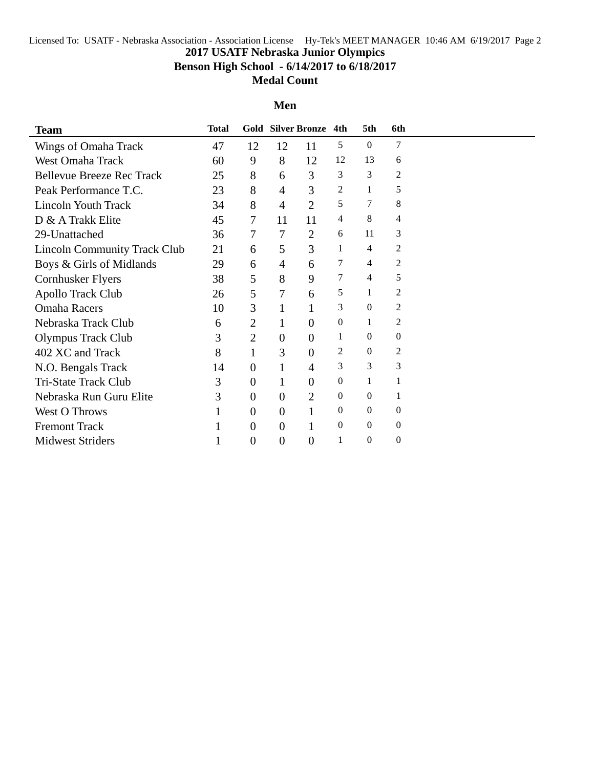# Licensed To: USATF - Nebraska Association - Association License Hy-Tek's MEET MANAGER 10:46 AM 6/19/2017 Page 2 **2017 USATF Nebraska Junior Olympics Benson High School - 6/14/2017 to 6/18/2017 Medal Count**

#### **Men**

| <b>Team</b>                         | Total |                  |                  | Gold Silver Bronze 4th |                  | 5th              | 6th              |  |
|-------------------------------------|-------|------------------|------------------|------------------------|------------------|------------------|------------------|--|
| Wings of Omaha Track                | 47    | 12               | 12               | 11                     | 5                | $\theta$         | 7                |  |
| <b>West Omaha Track</b>             | 60    | 9                | 8                | 12                     | 12               | 13               | 6                |  |
| <b>Bellevue Breeze Rec Track</b>    | 25    | 8                | 6                | 3                      | 3                | 3                | 2                |  |
| Peak Performance T.C.               | 23    | 8                | 4                | 3                      | 2                | 1                | 5                |  |
| <b>Lincoln Youth Track</b>          | 34    | 8                | $\overline{4}$   | $\overline{2}$         | 5                | 7                | 8                |  |
| D & A Trakk Elite                   | 45    | 7                | 11               | 11                     | 4                | 8                | 4                |  |
| 29-Unattached                       | 36    | 7                | 7                | $\overline{2}$         | 6                | 11               | 3                |  |
| <b>Lincoln Community Track Club</b> | 21    | 6                | 5                | 3                      | 1                | $\overline{4}$   | 2                |  |
| Boys & Girls of Midlands            | 29    | 6                | 4                | 6                      | 7                | 4                | 2                |  |
| <b>Cornhusker Flyers</b>            | 38    | 5                | 8                | 9                      | 7                | 4                | 5                |  |
| Apollo Track Club                   | 26    | 5                | 7                | 6                      | 5                | 1                | 2                |  |
| <b>Omaha Racers</b>                 | 10    | 3                | 1                | 1                      | 3                | $\theta$         | 2                |  |
| Nebraska Track Club                 | 6     | 2                | 1                | $\theta$               | $\mathbf{0}$     | 1                | 2                |  |
| <b>Olympus Track Club</b>           | 3     | $\overline{2}$   | $\boldsymbol{0}$ | $\overline{0}$         | 1                | $\theta$         | $\mathbf{0}$     |  |
| 402 XC and Track                    | 8     | 1                | 3                | $\overline{0}$         | 2                | $\theta$         | 2                |  |
| N.O. Bengals Track                  | 14    | $\theta$         | $\mathbf{1}$     | 4                      | 3                | 3                | 3                |  |
| Tri-State Track Club                | 3     | $\boldsymbol{0}$ | 1                | $\boldsymbol{0}$       | $\theta$         | 1                | 1                |  |
| Nebraska Run Guru Elite             | 3     | $\overline{0}$   | $\theta$         | $\overline{2}$         | $\boldsymbol{0}$ | $\boldsymbol{0}$ | 1                |  |
| <b>West O Throws</b>                |       | $\overline{0}$   | $\overline{0}$   |                        | $\Omega$         | $\theta$         | $\Omega$         |  |
| <b>Fremont Track</b>                |       | $\theta$         | $\boldsymbol{0}$ |                        | $\mathbf{0}$     | $\Omega$         | $\boldsymbol{0}$ |  |
| <b>Midwest Striders</b>             |       | $\overline{0}$   | $\overline{0}$   | $\boldsymbol{0}$       | 1                | $\mathbf{0}$     | $\overline{0}$   |  |